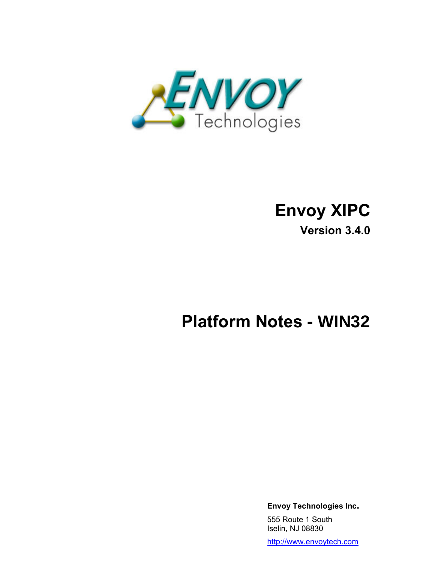

## **Envoy XIPC**

**Version 3.4.0**

# **Platform Notes - WIN32**

**Envoy Technologies Inc.** 

555 Route 1 South Iselin, NJ 08830

http://www.envoytech.com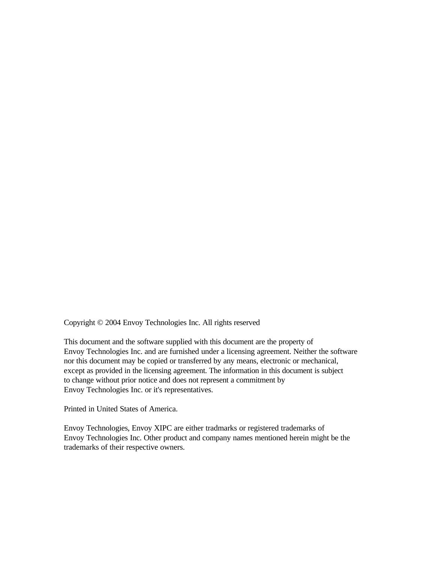Copyright © 2004 Envoy Technologies Inc. All rights reserved

This document and the software supplied with this document are the property of Envoy Technologies Inc. and are furnished under a licensing agreement. Neither the software nor this document may be copied or transferred by any means, electronic or mechanical, except as provided in the licensing agreement. The information in this document is subject to change without prior notice and does not represent a commitment by Envoy Technologies Inc. or it's representatives.

Printed in United States of America.

Envoy Technologies, Envoy XIPC are either tradmarks or registered trademarks of Envoy Technologies Inc. Other product and company names mentioned herein might be the trademarks of their respective owners.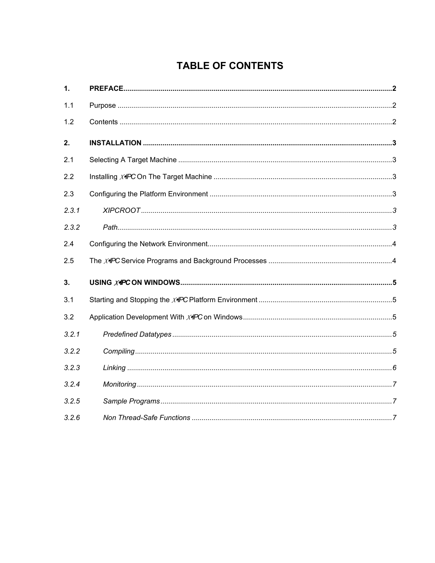## **TABLE OF CONTENTS**

| 1.    |  |
|-------|--|
| 1.1   |  |
| 1.2   |  |
| 2.    |  |
| 2.1   |  |
| 2.2   |  |
| 2.3   |  |
| 2.3.1 |  |
| 2.3.2 |  |
| 2.4   |  |
| 2.5   |  |
| 3.    |  |
| 3.1   |  |
| 3.2   |  |
| 3.2.1 |  |
| 3.2.2 |  |
| 3.2.3 |  |
| 3.2.4 |  |
| 3.2.5 |  |
| 3.2.6 |  |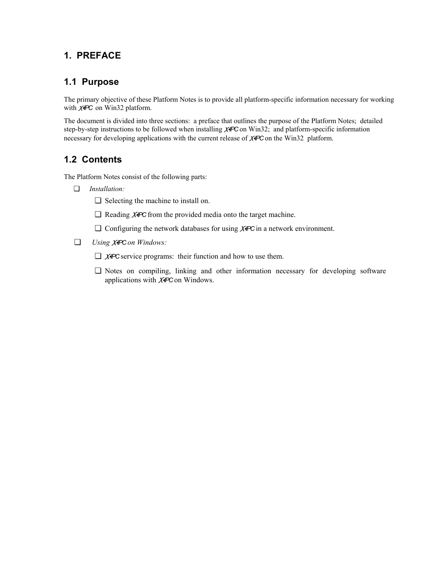## <span id="page-3-0"></span>**1. PREFACE**

#### **1.1 Purpose**

The primary objective of these Platform Notes is to provide all platform-specific information necessary for working with **XIPC** on Win32 platform.

The document is divided into three sections: a preface that outlines the purpose of the Platform Notes; detailed step-by-step instructions to be followed when installing *XIPC* on Win32; and platform-specific information necessary for developing applications with the current release of *XIPC* on the Win32 platform.

## **1.2 Contents**

The Platform Notes consist of the following parts:

- ❏ *Installation:*
	- ❏ Selecting the machine to install on.
	- ❏ Reading *XIPC* from the provided media onto the target machine.
	- ❏ Configuring the network databases for using *XIPC* in a network environment.
- ❏ *Using XIPC on Windows:*
	- ❏ *XIPC* service programs: their function and how to use them.
	- ❏ Notes on compiling, linking and other information necessary for developing software applications with *XIPC* on Windows.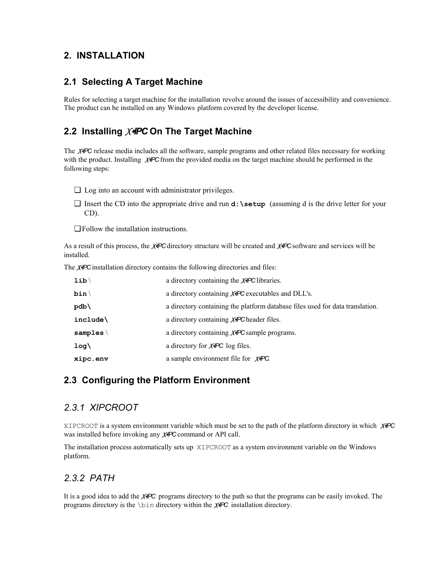#### <span id="page-4-0"></span>**2. INSTALLATION**

#### **2.1 Selecting A Target Machine**

Rules for selecting a target machine for the installation revolve around the issues of accessibility and convenience. The product can be installed on any Windows platform covered by the developer license.

## **2.2 Installing** *XIPC* **On The Target Machine**

The *XIPC* release media includes all the software, sample programs and other related files necessary for working with the product. Installing *XIPC* from the provided media on the target machine should be performed in the following steps:

- ❏ Log into an account with administrator privileges.
- ❏ Insert the CD into the appropriate drive and run **d:\setup** (assuming d is the drive letter for your CD).

❏ Follow the installation instructions.

As a result of this process, the *XIPC* directory structure will be created and *XIPC* software and services will be installed.

The *XIPC* installation directory contains the following directories and files:

| $\mathtt{lib} \setminus$ | a directory containing the $X$ -PC libraries.                                            |
|--------------------------|------------------------------------------------------------------------------------------|
| $\mathtt{bin} \setminus$ | a directory containing $X$ APC executables and DLL's.                                    |
| pdb\                     | a directory containing the platform database files used for data translation.            |
| include\                 | a directory containing $X$ <sup><math>\textsf{P}</math></sup> $\textsf{C}$ header files. |
| $samples \setminus$      | a directory containing $X$ <i></i> $P$ <b>C</b> sample programs.                         |
| $1$ oq $\backslash$      | a directory for $X$ <i></i> $P$ C log files.                                             |
| xipc.env                 | a sample environment file for $X$ <i>NPC</i> .                                           |

#### **2.3 Configuring the Platform Environment**

#### *2.3.1 XIPCROOT*

XIPCROOT is a system environment variable which must be set to the path of the platform directory in which *XIPC* was installed before invoking any *XIPC* command or API call.

The installation process automatically sets up XIPCROOT as a system environment variable on the Windows platform.

## *2.3.2 PATH*

It is a good idea to add the *XIPC* programs directory to the path so that the programs can be easily invoked. The programs directory is the \bin directory within the *XIPC* installation directory.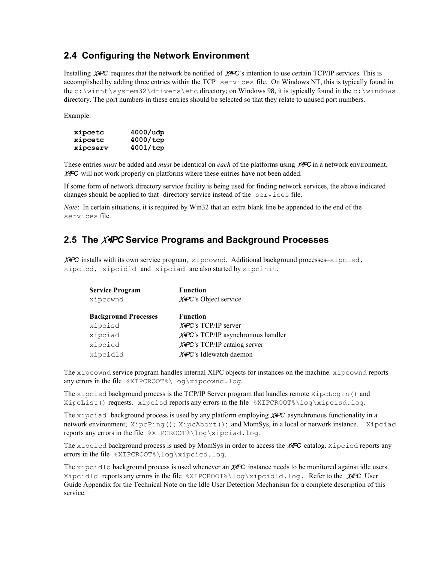### <span id="page-5-0"></span>**2.4 Configuring the Network Environment**

Installing *XIPC* requires that the network be notified of *XIPC*'s intention to use certain TCP/IP services. This is accomplished by adding three entries within the TCP services file. On Windows NT, this is typically found in the c:\winnt\system32\drivers\etc directory; on Windows 98, it is typically found in the c:\windows directory. The port numbers in these entries should be selected so that they relate to unused port numbers.

Example:

| xipcetc  | 4000/udp          |
|----------|-------------------|
| xipcetc  | $4000/\text{tcp}$ |
| xipcserv | $4001/\text{tcp}$ |

These entries *must* be added and *must* be identical on *each* of the platforms using *XIPC* in a network environment. *XIPC* will not work properly on platforms where these entries have not been added.

If some form of network directory service facility is being used for finding network services, the above indicated changes should be applied to that directory service instead of the services file.

*Note*: In certain situations, it is required by Win32 that an extra blank line be appended to the end of the services file.

### **2.5 The** *XIPC* **Service Programs and Background Processes**

*XIPC* installs with its own service program, xipcownd. Additional background processes–xipcisd, xipcicd, xipcidld and xipciad–are also started by xipcinit.

| <b>Service Program</b><br>xipcownd | <b>Function</b><br><b>XIPC's Object service</b>         |
|------------------------------------|---------------------------------------------------------|
| <b>Background Processes</b>        | <b>Function</b>                                         |
| xipcisd                            | $X$ <sup><math>H</math></sup> $C$ 's TCP/IP server      |
| xipciad                            | XIPC's TCP/IP asynchronous handler                      |
| xipcicd                            | $X$ <sup><math>P</math></sup> C's TCP/IP catalog server |
| xipcidld                           | <b>X</b> IPC's Idlewatch daemon                         |

The xipcownd service program handles internal XIPC objects for instances on the machine. xipcownd reports any errors in the file %XIPCROOT%\log\xipcownd.log.

The xipcisd background process is the TCP/IP Server program that handles remote XipcLogin() and XipcList() requests. xipcisd reports any errors in the file %XIPCROOT%\log\xipcisd.log.

The xipciad background process is used by any platform employing *XIPC* asynchronous functionality in a network environment; XipcPing(); XipcAbort(); and MomSys, in a local or network instance. Xipciad reports any errors in the file %XIPCROOT%\log\xipciad.log.

The xipcicd background process is used by MomSys in order to access the *XIPC* catalog. Xipcicd reports any errors in the file %XIPCROOT%\log\xipcicd.log.

The xipcidld background process is used whenever an *XIPC* instance needs to be monitored against idle users. Xipcidld reports any errors in the file %XIPCROOT%\log\xipcidld.log. Refer to the *XIPC* User Guide Appendix for the Technical Note on the Idle User Detection Mechanism for a complete description of this service.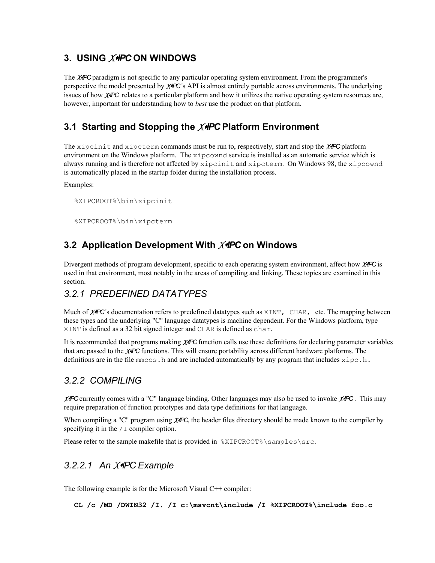## <span id="page-6-0"></span>**3. USING** *XIPC* **ON WINDOWS**

The *XIPC* paradigm is not specific to any particular operating system environment. From the programmer's perspective the model presented by *XIPC*'s API is almost entirely portable across environments. The underlying issues of how *XIPC* relates to a particular platform and how it utilizes the native operating system resources are, however, important for understanding how to *best* use the product on that platform.

## **3.1 Starting and Stopping the** *XIPC* **Platform Environment**

The xipcinit and xipcterm commands must be run to, respectively, start and stop the *XIPC* platform environment on the Windows platform. The xipcownd service is installed as an automatic service which is always running and is therefore not affected by xipcinit and xipcterm. On Windows 98, the xipcownd is automatically placed in the startup folder during the installation process.

Examples:

```
%XIPCROOT%\bin\xipcinit
```
%XIPCROOT%\bin\xipcterm

## **3.2 Application Development With** *XIPC* **on Windows**

Divergent methods of program development, specific to each operating system environment, affect how *XIPC* is used in that environment, most notably in the areas of compiling and linking. These topics are examined in this section.

#### *3.2.1 PREDEFINED DATATYPES*

Much of **X***IPC*'s documentation refers to predefined datatypes such as XINT, CHAR, etc. The mapping between these types and the underlying "C" language datatypes is machine dependent. For the Windows platform, type XINT is defined as a 32 bit signed integer and CHAR is defined as char.

It is recommended that programs making X*IPC* function calls use these definitions for declaring parameter variables that are passed to the *XIPC* functions. This will ensure portability across different hardware platforms. The definitions are in the file  $\text{mm} \cos$ .h and are included automatically by any program that includes  $\text{zipc.h.}$ 

## *3.2.2 COMPILING*

*XIPC* currently comes with a "C" language binding. Other languages may also be used to invoke *XIPC* . This may require preparation of function prototypes and data type definitions for that language.

When compiling a "C" program using *XIPC*, the header files directory should be made known to the compiler by specifying it in the  $/1$  compiler option.

Please refer to the sample makefile that is provided in  $\XIPCROOT\sigma\sums\c.$ 

## *3.2.2.1 An XIPC Example*

The following example is for the Microsoft Visual C++ compiler:

**CL /c /MD /DWIN32 /I. /I c:\msvcnt\include /I %XIPCROOT%\include foo.c**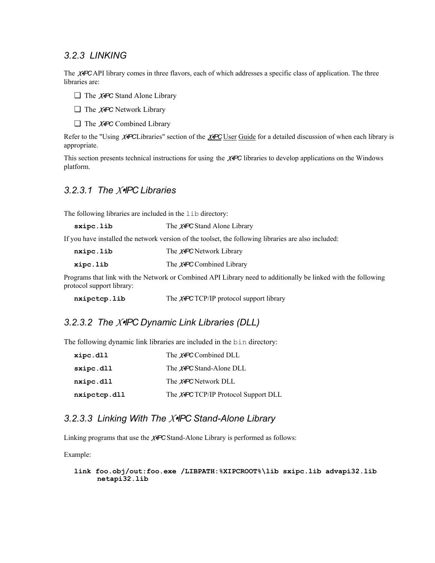#### <span id="page-7-0"></span>*3.2.3 LINKING*

The *XIPC*API library comes in three flavors, each of which addresses a specific class of application. The three libraries are:

- ❏ The *XIPC* Stand Alone Library
- ❏ The *XIPC* Network Library
- **□** The *XIPC* Combined Library

Refer to the "Using *XIPC*Libraries" section of the *XIPC* User Guide for a detailed discussion of when each library is appropriate.

This section presents technical instructions for using the *XIPC* libraries to develop applications on the Windows pla tform.

### *3.2 .3.1 The XIPC Libraries*

The following libraries are included in the lib directory:

| sxipc.lib | The <b>XIPC</b> Stand Alone Library |
|-----------|-------------------------------------|
|-----------|-------------------------------------|

If you have installed the network version of the toolset, the following libraries are also included:

| nxipc.lib | The <b>XIPC</b> Network Library  |
|-----------|----------------------------------|
| xipc.lib  | The <b>XIPC</b> Combined Library |

Programs that link with the Network or Combined API Library need to additionally be linked with the following protocol support library:

**iddicates ih** orthogonal The *XIPC* TCP/IP protocol support library

### 3.2.3.2 The *X*<sup>I</sup>PC Dynamic Link Libraries (DLL)

The following dynamic link libraries are included in the bin directory:

| xipc.dll     | The <b>XIPC</b> Combined DLL                |
|--------------|---------------------------------------------|
| sxipc.dll    | The <b>XIPC</b> Stand-Alone DLL             |
| nxipc.dll    | The <b>XIPC</b> Network DLL                 |
| nxipctcp.dll | The <b>X+PC</b> TCP/IP Protocol Support DLL |

### 3.2.3.3 Linking With The *X*<sup>*IPC* Stand-Alone Library</sup>

Linking programs that use the **XIPC** Stand-Alone Library is performed as follows:

Ex ample:

```
link foo.obj/out:foo.exe /LIBPATH:%XIPCROOT%\lib sxipc.lib advapi32.lib 
      netapi32.lib
```